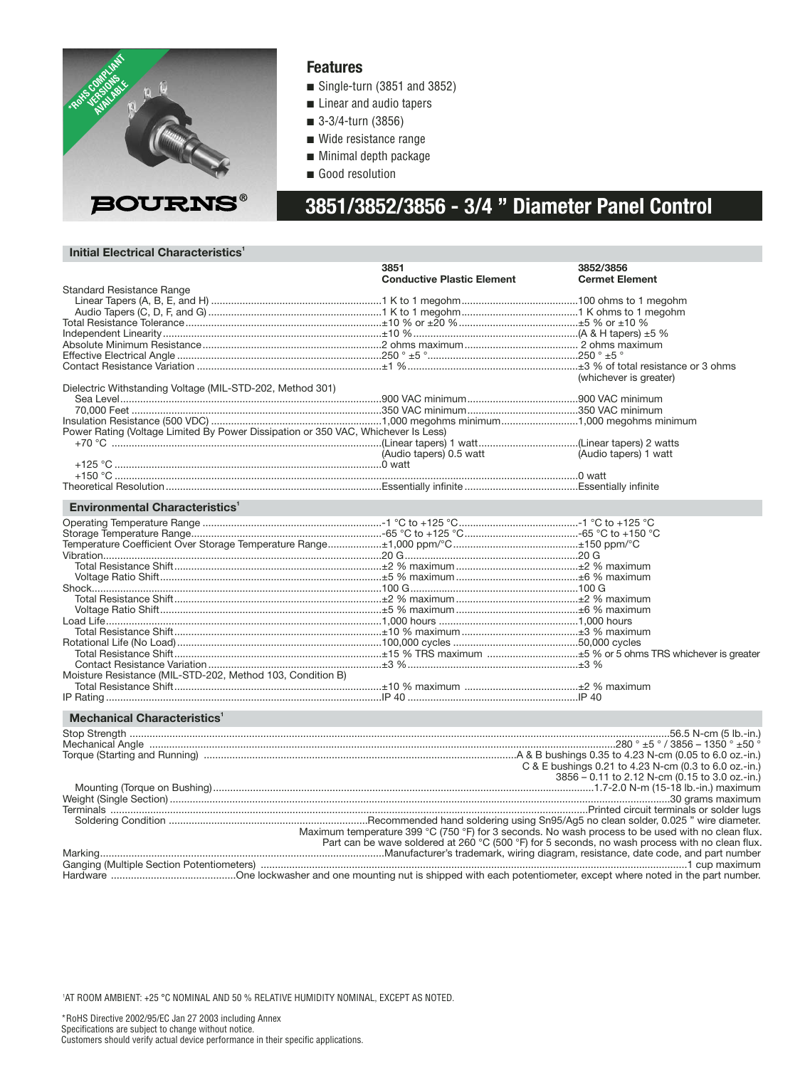

#### **Features**

- Single-turn (3851 and 3852)
- Linear and audio tapers
- 3-3/4-turn (3856)
- Wide resistance range
- Minimal depth package
- Good resolution

# **3851/3852/3856 - 3/4 " Diameter Panel Control**

#### **Initial Electrical Characteristics<sup>1</sup>**

|                                                                                             | 3851                                                                                              | 3852/3856                                             |
|---------------------------------------------------------------------------------------------|---------------------------------------------------------------------------------------------------|-------------------------------------------------------|
|                                                                                             | <b>Conductive Plastic Element</b>                                                                 | <b>Cermet Element</b>                                 |
| <b>Standard Resistance Range</b>                                                            |                                                                                                   |                                                       |
|                                                                                             |                                                                                                   |                                                       |
|                                                                                             |                                                                                                   |                                                       |
|                                                                                             |                                                                                                   |                                                       |
|                                                                                             |                                                                                                   |                                                       |
|                                                                                             |                                                                                                   |                                                       |
|                                                                                             |                                                                                                   |                                                       |
|                                                                                             |                                                                                                   | (whichever is greater)                                |
| Dielectric Withstanding Voltage (MIL-STD-202, Method 301)                                   |                                                                                                   |                                                       |
|                                                                                             |                                                                                                   |                                                       |
|                                                                                             |                                                                                                   |                                                       |
|                                                                                             |                                                                                                   |                                                       |
| Power Rating (Voltage Limited By Power Dissipation or 350 VAC, Whichever Is Less)           |                                                                                                   |                                                       |
|                                                                                             |                                                                                                   |                                                       |
|                                                                                             | (Audio tapers) 0.5 watt                                                                           | (Audio tapers) 1 watt                                 |
|                                                                                             |                                                                                                   |                                                       |
|                                                                                             |                                                                                                   |                                                       |
|                                                                                             |                                                                                                   |                                                       |
|                                                                                             |                                                                                                   |                                                       |
| <b>Environmental Characteristics<sup>1</sup></b>                                            |                                                                                                   |                                                       |
|                                                                                             |                                                                                                   |                                                       |
|                                                                                             |                                                                                                   |                                                       |
|                                                                                             |                                                                                                   |                                                       |
|                                                                                             |                                                                                                   |                                                       |
|                                                                                             |                                                                                                   |                                                       |
|                                                                                             |                                                                                                   |                                                       |
|                                                                                             |                                                                                                   |                                                       |
|                                                                                             |                                                                                                   |                                                       |
|                                                                                             |                                                                                                   |                                                       |
|                                                                                             |                                                                                                   |                                                       |
|                                                                                             |                                                                                                   |                                                       |
| Rotational Life (No Load) ……………………………………………………………100.000 cvcles ……………………………………50.000 cvcles |                                                                                                   |                                                       |
|                                                                                             |                                                                                                   |                                                       |
|                                                                                             |                                                                                                   |                                                       |
| Moisture Resistance (MIL-STD-202, Method 103, Condition B)                                  |                                                                                                   |                                                       |
|                                                                                             |                                                                                                   |                                                       |
|                                                                                             |                                                                                                   |                                                       |
| <b>Mechanical Characteristics'</b>                                                          |                                                                                                   |                                                       |
|                                                                                             |                                                                                                   |                                                       |
|                                                                                             |                                                                                                   |                                                       |
|                                                                                             |                                                                                                   |                                                       |
|                                                                                             |                                                                                                   |                                                       |
|                                                                                             |                                                                                                   | C & E bushings 0.21 to 4.23 N-cm (0.3 to 6.0 oz.-in.) |
|                                                                                             |                                                                                                   | 3856 - 0.11 to 2.12 N-cm (0.15 to 3.0 oz.-in.)        |
|                                                                                             |                                                                                                   |                                                       |
|                                                                                             |                                                                                                   |                                                       |
|                                                                                             |                                                                                                   |                                                       |
|                                                                                             | Maximum temperature 399 °C (750 °F) for 3 seconds. No wash process to be used with no clean flux. |                                                       |
|                                                                                             |                                                                                                   |                                                       |
|                                                                                             | Part can be wave soldered at 260 °C (500 °F) for 5 seconds, no wash process with no clean flux.   |                                                       |
|                                                                                             |                                                                                                   |                                                       |
|                                                                                             |                                                                                                   |                                                       |

Hardware ............................................One lockwasher and one mounting nut is shipped with each potentiometer, except where noted in the part number.

1 AT ROOM AMBIENT: +25 °C NOMINAL AND 50 % RELATIVE HUMIDITY NOMINAL, EXCEPT AS NOTED.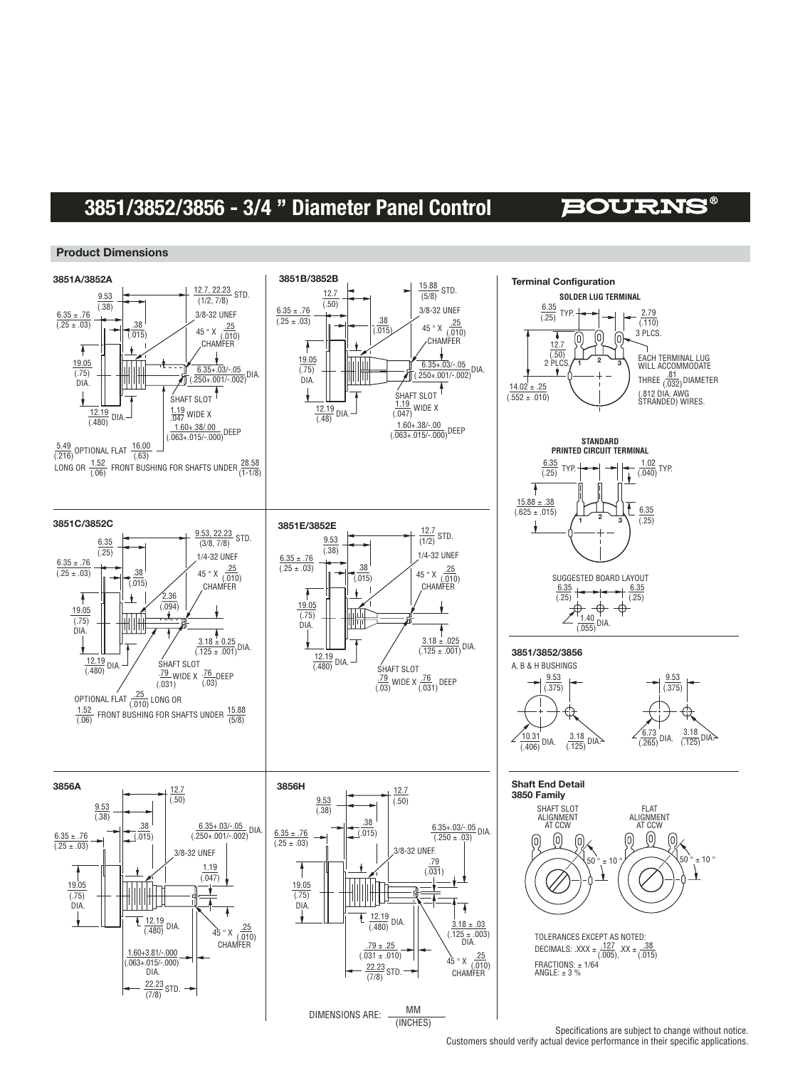### **3851/3852/3856 - 3/4 " Diameter Panel Control**

### **BOURNS®**

#### **Product Dimensions**



Specifications are subject to change without notice. Customers should verify actual device performance in their specific applications.